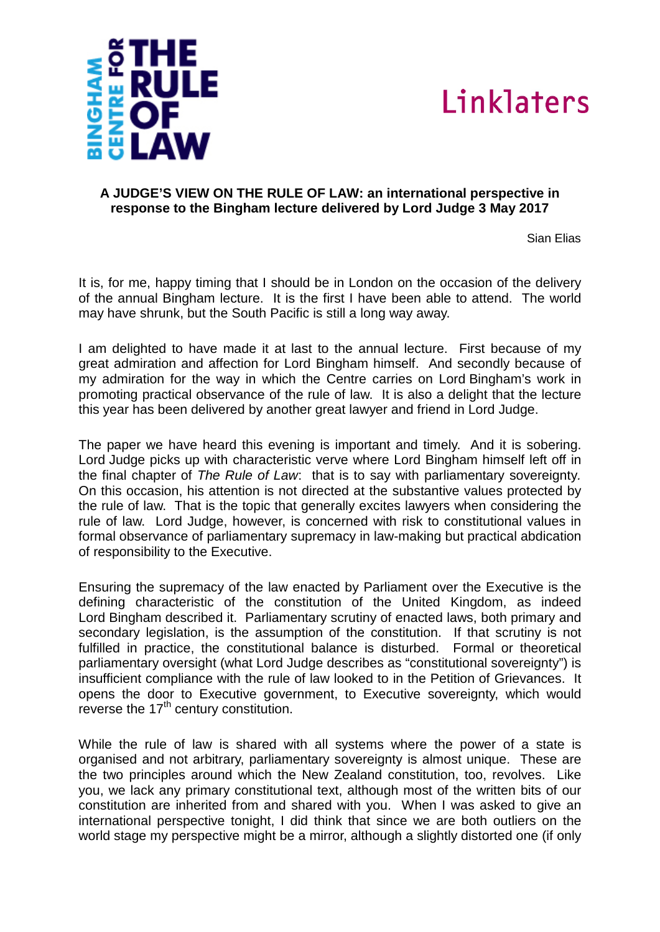



## **A JUDGE'S VIEW ON THE RULE OF LAW: an international perspective in response to the Bingham lecture delivered by Lord Judge 3 May 2017**

Sian Elias

It is, for me, happy timing that I should be in London on the occasion of the delivery of the annual Bingham lecture. It is the first I have been able to attend. The world may have shrunk, but the South Pacific is still a long way away.

I am delighted to have made it at last to the annual lecture. First because of my great admiration and affection for Lord Bingham himself. And secondly because of my admiration for the way in which the Centre carries on Lord Bingham's work in promoting practical observance of the rule of law. It is also a delight that the lecture this year has been delivered by another great lawyer and friend in Lord Judge.

The paper we have heard this evening is important and timely. And it is sobering. Lord Judge picks up with characteristic verve where Lord Bingham himself left off in the final chapter of *The Rule of Law*: that is to say with parliamentary sovereignty*.* On this occasion, his attention is not directed at the substantive values protected by the rule of law. That is the topic that generally excites lawyers when considering the rule of law. Lord Judge, however, is concerned with risk to constitutional values in formal observance of parliamentary supremacy in law-making but practical abdication of responsibility to the Executive.

Ensuring the supremacy of the law enacted by Parliament over the Executive is the defining characteristic of the constitution of the United Kingdom, as indeed Lord Bingham described it. Parliamentary scrutiny of enacted laws, both primary and secondary legislation, is the assumption of the constitution. If that scrutiny is not fulfilled in practice, the constitutional balance is disturbed. Formal or theoretical parliamentary oversight (what Lord Judge describes as "constitutional sovereignty") is insufficient compliance with the rule of law looked to in the Petition of Grievances. It opens the door to Executive government, to Executive sovereignty, which would reverse the  $17<sup>th</sup>$  century constitution.

While the rule of law is shared with all systems where the power of a state is organised and not arbitrary, parliamentary sovereignty is almost unique. These are the two principles around which the New Zealand constitution, too, revolves. Like you, we lack any primary constitutional text, although most of the written bits of our constitution are inherited from and shared with you. When I was asked to give an international perspective tonight, I did think that since we are both outliers on the world stage my perspective might be a mirror, although a slightly distorted one (if only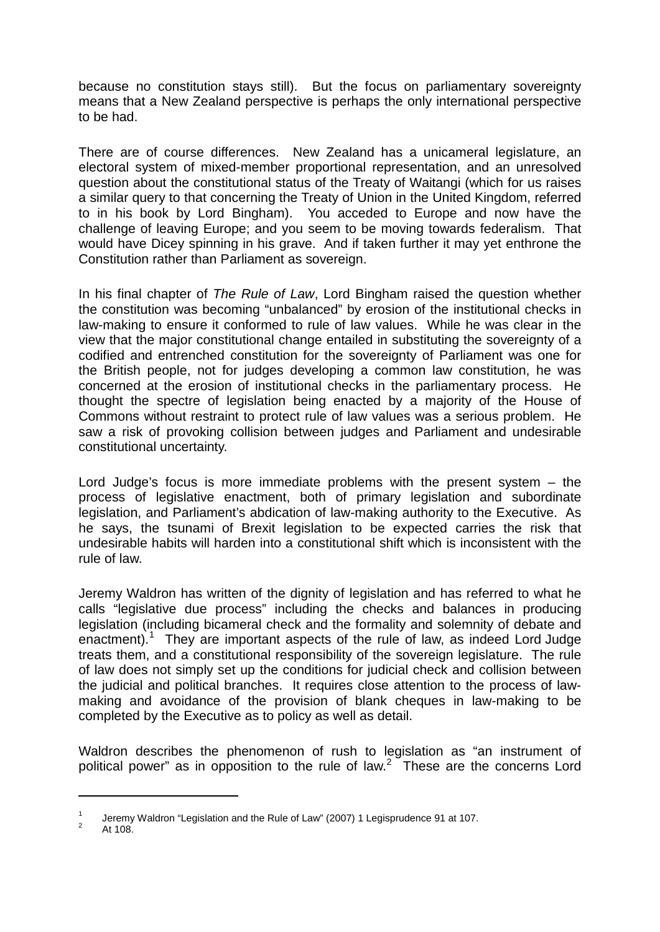because no constitution stays still). But the focus on parliamentary sovereignty means that a New Zealand perspective is perhaps the only international perspective to be had.

There are of course differences. New Zealand has a unicameral legislature, an electoral system of mixed-member proportional representation, and an unresolved question about the constitutional status of the Treaty of Waitangi (which for us raises a similar query to that concerning the Treaty of Union in the United Kingdom, referred to in his book by Lord Bingham). You acceded to Europe and now have the challenge of leaving Europe; and you seem to be moving towards federalism. That would have Dicey spinning in his grave. And if taken further it may yet enthrone the Constitution rather than Parliament as sovereign.

In his final chapter of *The Rule of Law*, Lord Bingham raised the question whether the constitution was becoming "unbalanced" by erosion of the institutional checks in law-making to ensure it conformed to rule of law values. While he was clear in the view that the major constitutional change entailed in substituting the sovereignty of a codified and entrenched constitution for the sovereignty of Parliament was one for the British people, not for judges developing a common law constitution, he was concerned at the erosion of institutional checks in the parliamentary process. He thought the spectre of legislation being enacted by a majority of the House of Commons without restraint to protect rule of law values was a serious problem. He saw a risk of provoking collision between judges and Parliament and undesirable constitutional uncertainty.

Lord Judge's focus is more immediate problems with the present system – the process of legislative enactment, both of primary legislation and subordinate legislation, and Parliament's abdication of law-making authority to the Executive. As he says, the tsunami of Brexit legislation to be expected carries the risk that undesirable habits will harden into a constitutional shift which is inconsistent with the rule of law.

Jeremy Waldron has written of the dignity of legislation and has referred to what he calls "legislative due process" including the checks and balances in producing legislation (including bicameral check and the formality and solemnity of debate and enactment).<sup>[1](#page-1-0)</sup> They are important aspects of the rule of law, as indeed Lord Judge treats them, and a constitutional responsibility of the sovereign legislature. The rule of law does not simply set up the conditions for judicial check and collision between the judicial and political branches. It requires close attention to the process of lawmaking and avoidance of the provision of blank cheques in law-making to be completed by the Executive as to policy as well as detail.

Waldron describes the phenomenon of rush to legislation as "an instrument of political power" as in opposition to the rule of law.<sup>[2](#page-1-1)</sup> These are the concerns Lord

**.** 

<span id="page-1-1"></span><span id="page-1-0"></span><sup>&</sup>lt;sup>1</sup> Jeremy Waldron "Legislation and the Rule of Law" (2007) 1 Legisprudence 91 at 107.<br>
<sup>2</sup> At 108.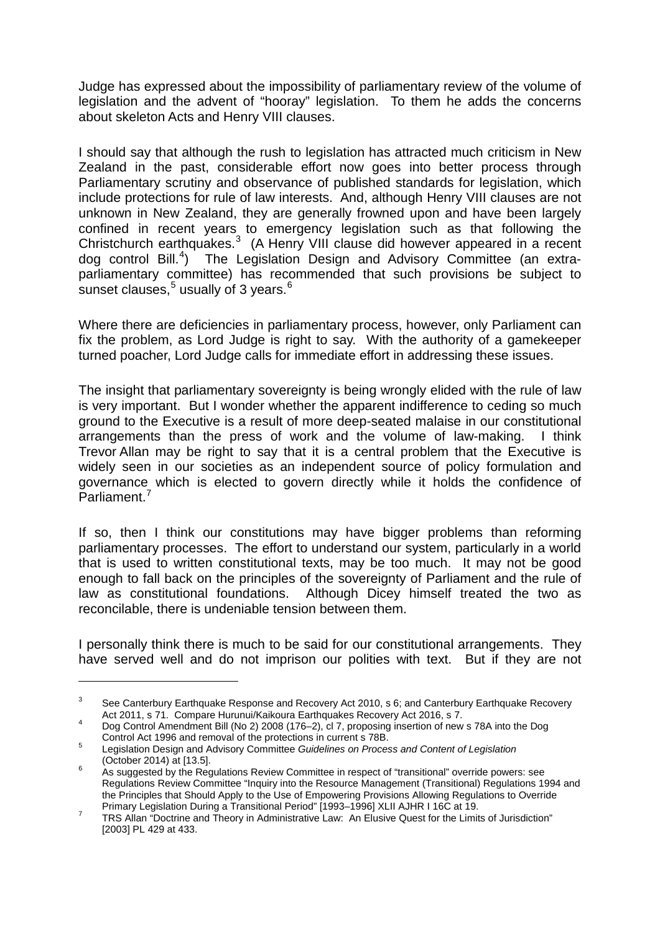Judge has expressed about the impossibility of parliamentary review of the volume of legislation and the advent of "hooray" legislation. To them he adds the concerns about skeleton Acts and Henry VIII clauses.

I should say that although the rush to legislation has attracted much criticism in New Zealand in the past, considerable effort now goes into better process through Parliamentary scrutiny and observance of published standards for legislation, which include protections for rule of law interests. And, although Henry VIII clauses are not unknown in New Zealand, they are generally frowned upon and have been largely confined in recent years to emergency legislation such as that following the Christchurch earthquakes.<sup>[3](#page-2-0)</sup> (A Henry VIII clause did however appeared in a recent dog control Bill.<sup>[4](#page-2-1)</sup>) The Legislation Design and Advisory Committee (an extraparliamentary committee) has recommended that such provisions be subject to sunset clauses. $5$  usually of 3 years. $6$ 

Where there are deficiencies in parliamentary process, however, only Parliament can fix the problem, as Lord Judge is right to say. With the authority of a gamekeeper turned poacher, Lord Judge calls for immediate effort in addressing these issues.

The insight that parliamentary sovereignty is being wrongly elided with the rule of law is very important. But I wonder whether the apparent indifference to ceding so much ground to the Executive is a result of more deep-seated malaise in our constitutional arrangements than the press of work and the volume of law-making. I think Trevor Allan may be right to say that it is a central problem that the Executive is widely seen in our societies as an independent source of policy formulation and governance which is elected to govern directly while it holds the confidence of Parliament.<sup>[7](#page-2-4)</sup>

If so, then I think our constitutions may have bigger problems than reforming parliamentary processes. The effort to understand our system, particularly in a world that is used to written constitutional texts, may be too much. It may not be good enough to fall back on the principles of the sovereignty of Parliament and the rule of law as constitutional foundations. Although Dicey himself treated the two as reconcilable, there is undeniable tension between them.

I personally think there is much to be said for our constitutional arrangements. They have served well and do not imprison our polities with text. But if they are not

**.** 

<span id="page-2-0"></span><sup>&</sup>lt;sup>3</sup> See Canterbury Earthquake Response and Recovery Act 2010, s 6; and Canterbury Earthquake Recovery Act 2011, s 71. Compare Hurunui/Kaikoura Earthquakes Recovery Act 2016, s 7.

<span id="page-2-1"></span>Act 2011, s 71. Compare Hurunui/Kaikoura Earthquakes Recovery Act 2016, s 7.<br>Dog Control Amendment Bill (No 2) 2008 (176–2), cl 7, proposing insertion of new s 78A into the Dog<br>Control Act 1996 and removal of the protectio

<span id="page-2-2"></span>Control Act 1996 and removal of the protections in current s 78B. <sup>5</sup> Legislation Design and Advisory Committee *Guidelines on Process and Content of Legislation*

<span id="page-2-3"></span><sup>(</sup>October 2014) at [13.5].<br>
<sup>6</sup> As suggested by the Regulations Review Committee in respect of "transitional" override powers: see Regulations Review Committee "Inquiry into the Resource Management (Transitional) Regulations 1994 and the Principles that Should Apply to the Use of Empowering Provisions Allowing Regulations to Override<br>Primary Legislation During a Transitional Period" [1993–1996] XLII AJHR I 16C at 19.

<span id="page-2-4"></span>Primary Legislation During a Transitional Period [1993–1999] XLII AGHR I 1996 at 19.<br>TRS Allan "Doctrine and Theory in Administrative Law: An Elusive Quest for the Limits of Jurisdiction" [2003] PL 429 at 433.